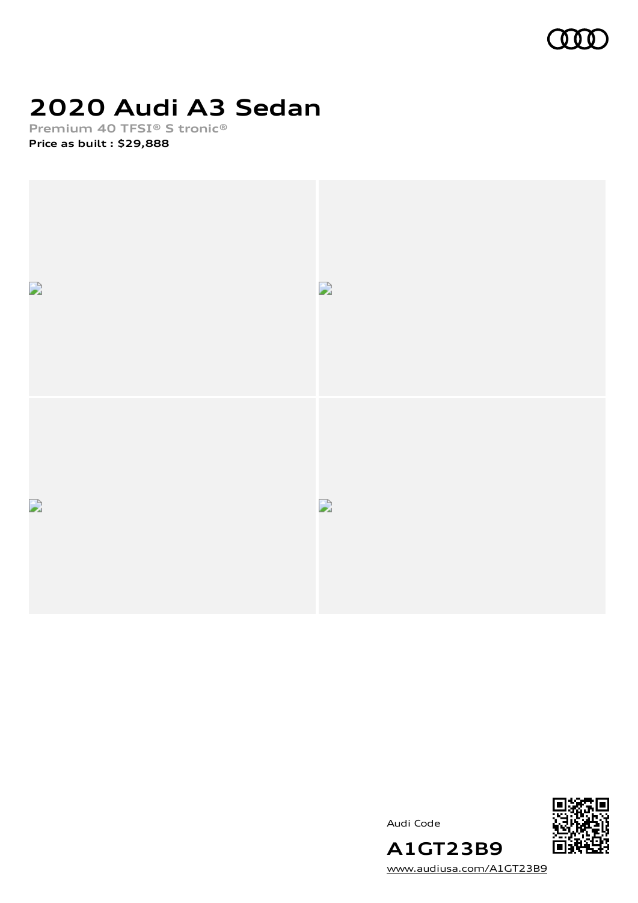

# **2020 Audi A3 Sedan**

**Premium 40 TFSI® S tronic® Price as built [:](#page-10-0) \$29,888**







[www.audiusa.com/A1GT23B9](https://www.audiusa.com/A1GT23B9)

**A1GT23B9**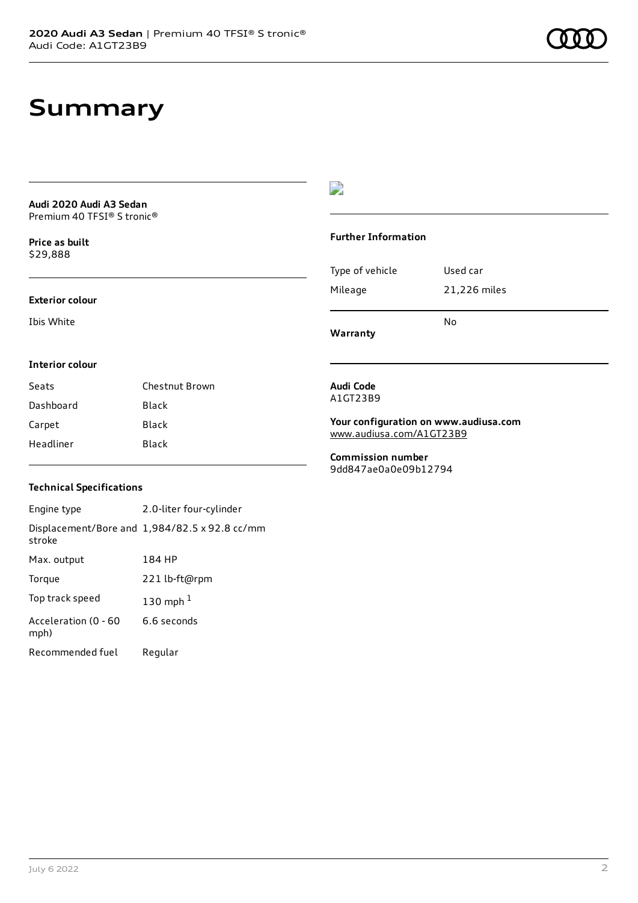### **Summary**

**Audi 2020 Audi A3 Sedan** Premium 40 TFSI® S tronic®

**Price as buil[t](#page-10-0)** \$29,888

### D

#### **Further Information**

|                 | N٥           |
|-----------------|--------------|
| Mileage         | 21,226 miles |
| Type of vehicle | Used car     |

**Warranty**

#### **Interior colour**

**Exterior colour**

Ibis White

| Seats     | Chestnut Brown |
|-----------|----------------|
| Dashboard | <b>Black</b>   |
| Carpet    | Black          |
| Headliner | Black          |

#### **Audi Code** A1GT23B9

**Your configuration on www.audiusa.com** [www.audiusa.com/A1GT23B9](https://www.audiusa.com/A1GT23B9)

**Commission number** 9dd847ae0a0e09b12794

### **Technical Specifications**

Engine type 2.0-liter four-cylinder Displacement/Bore and 1,984/82.5 x 92.8 cc/mm stroke Max. output 184 HP Torque 221 lb-ft@rpm Top track speed [1](#page-10-0)30 mph $<sup>1</sup>$ </sup> Acceleration (0 - 60 mph) 6.6 seconds Recommended fuel Regular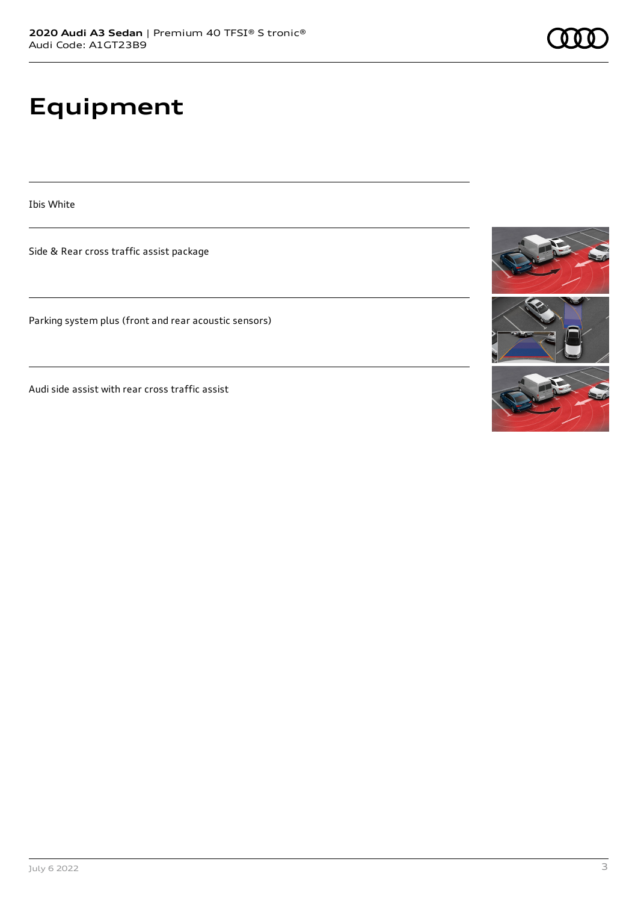# **Equipment**

Ibis White

Side & Rear cross traffic assist package

Parking system plus (front and rear acoustic sensors)

Audi side assist with rear cross traffic assist

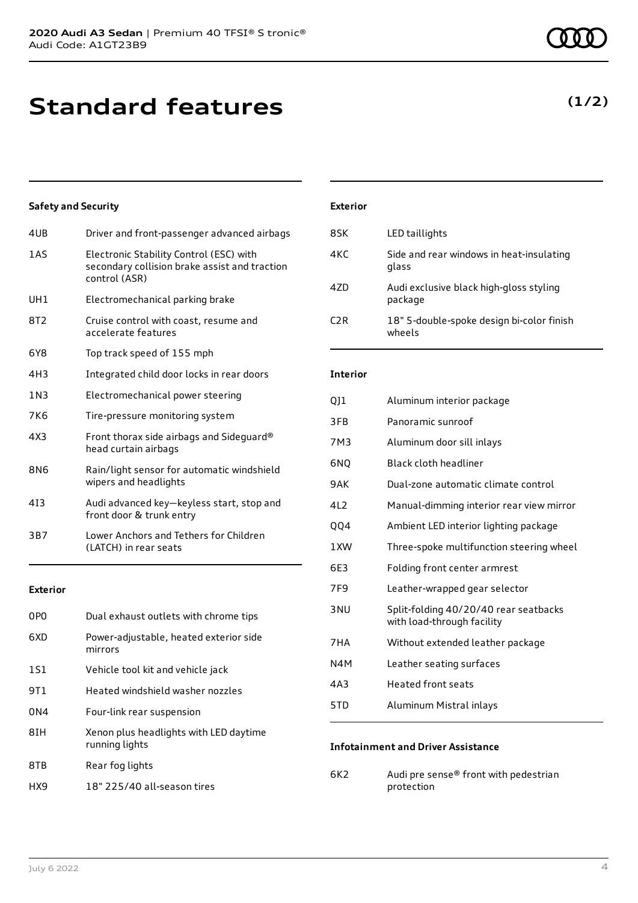## **Standard features**

### **Safety and Security**

| 4UB   | Driver and front-passenger advanced airbags                                                               |
|-------|-----------------------------------------------------------------------------------------------------------|
| 1AS   | Electronic Stability Control (ESC) with<br>secondary collision brake assist and traction<br>control (ASR) |
| UH1   | Electromechanical parking brake                                                                           |
| 8T2   | Cruise control with coast, resume and<br>accelerate features                                              |
| 6Y8   | Top track speed of 155 mph                                                                                |
| 4H3   | Integrated child door locks in rear doors                                                                 |
| 1 N 3 | Electromechanical power steering                                                                          |
| 7K6   | Tire-pressure monitoring system                                                                           |
| 4X3   | Front thorax side airbags and Sideguard®<br>head curtain airbags                                          |
| 8N6   | Rain/light sensor for automatic windshield<br>wipers and headlights                                       |
| 413   | Audi advanced key-keyless start, stop and<br>front door & trunk entry                                     |
| 3B7   | Lower Anchors and Tethers for Children<br>(LATCH) in rear seats                                           |
|       |                                                                                                           |

### **Exterior**

| 0P <sub>0</sub> | Dual exhaust outlets with chrome tips                    |
|-----------------|----------------------------------------------------------|
| 6XD             | Power-adjustable, heated exterior side<br>mirrors        |
| 1S1             | Vehicle tool kit and vehicle jack                        |
| 9T1             | Heated windshield washer nozzles                         |
| 0 <sub>N4</sub> | Four-link rear suspension                                |
| 8IH             | Xenon plus headlights with LED daytime<br>running lights |
| 8TB             | Rear fog lights                                          |
| HX9             | 18" 225/40 all-season tires                              |

### **Exterior**

| 8SK              | LED taillights                                      |
|------------------|-----------------------------------------------------|
| 4KC              | Side and rear windows in heat-insulating<br>glass   |
| 47D              | Audi exclusive black high-gloss styling<br>package  |
| C <sub>2</sub> R | 18" 5-double-spoke design bi-color finish<br>wheels |

### **Interior**

| QJ1             | Aluminum interior package                                           |
|-----------------|---------------------------------------------------------------------|
| 3FB             | Panoramic sunroof                                                   |
| 7M3             | Aluminum door sill inlays                                           |
| 6NO             | Black cloth headliner                                               |
| 9AK             | Dual-zone automatic climate control                                 |
| 4L <sub>2</sub> | Manual-dimming interior rear view mirror                            |
| QQ4             | Ambient LED interior lighting package                               |
| 1XW             | Three-spoke multifunction steering wheel                            |
| 6E3             | Folding front center armrest                                        |
| 7F <sub>9</sub> | Leather-wrapped gear selector                                       |
| 3 <sub>NU</sub> | Split-folding 40/20/40 rear seatbacks<br>with load-through facility |
| 7HA             | Without extended leather package                                    |
| N4M             | Leather seating surfaces                                            |
| 4A3             | Heated front seats                                                  |
| 5TD             | Aluminum Mistral inlays                                             |

#### **Infotainment and Driver Assistance**

6K2 Audi pre sense® front with pedestrian protection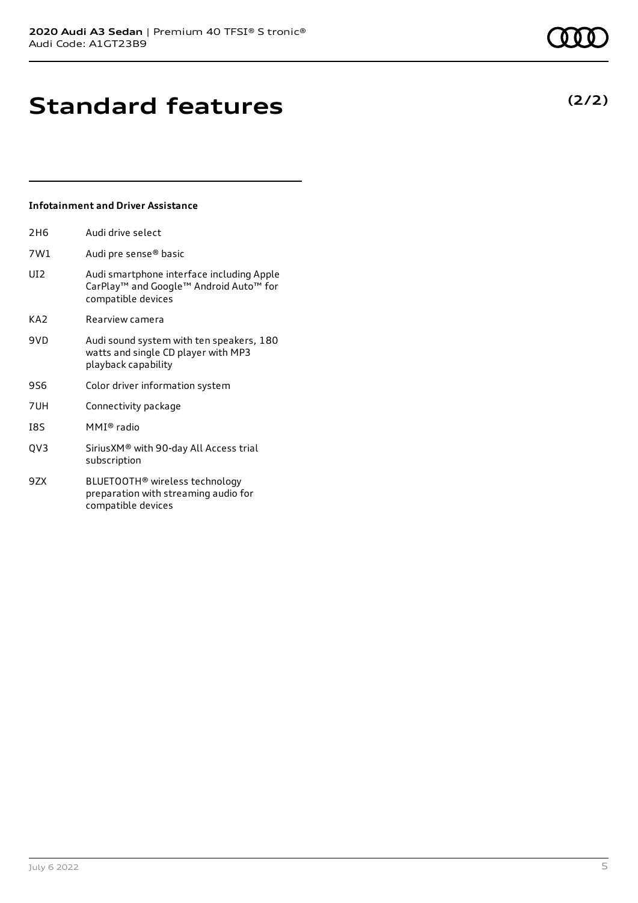## **Standard features**

#### **Infotainment and Driver Assistance**

| Audi drive select                                                                                                                             |
|-----------------------------------------------------------------------------------------------------------------------------------------------|
| Audi pre sense® basic                                                                                                                         |
| Audi smartphone interface including Apple<br>CarPlay <sup>™</sup> and Google <sup>™</sup> Android Auto <sup>™</sup> for<br>compatible devices |
| Rearview camera                                                                                                                               |
| Audi sound system with ten speakers, 180<br>watts and single CD player with MP3<br>playback capability                                        |
| Color driver information system                                                                                                               |
| Connectivity package                                                                                                                          |
| MMI® radio                                                                                                                                    |
| Sirius XM® with 90-day All Access trial<br>subscription                                                                                       |
| BLUETOOTH <sup>®</sup> wireless technology<br>preparation with streaming audio for<br>compatible devices                                      |
|                                                                                                                                               |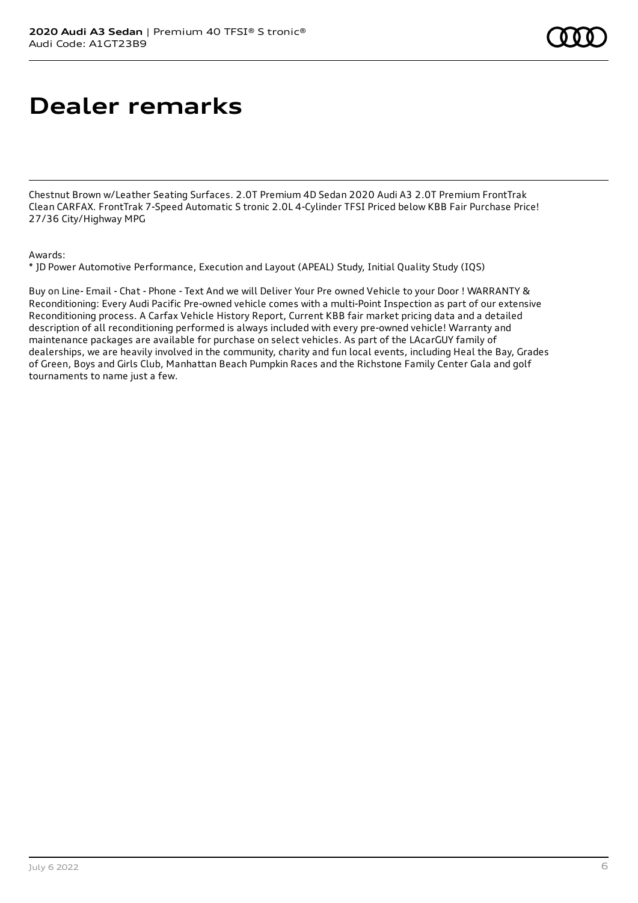## **Dealer remarks**

Chestnut Brown w/Leather Seating Surfaces. 2.0T Premium 4D Sedan 2020 Audi A3 2.0T Premium FrontTrak Clean CARFAX. FrontTrak 7-Speed Automatic S tronic 2.0L 4-Cylinder TFSI Priced below KBB Fair Purchase Price! 27/36 City/Highway MPG

#### Awards:

\* JD Power Automotive Performance, Execution and Layout (APEAL) Study, Initial Quality Study (IQS)

Buy on Line- Email - Chat - Phone - Text And we will Deliver Your Pre owned Vehicle to your Door ! WARRANTY & Reconditioning: Every Audi Pacific Pre-owned vehicle comes with a multi-Point Inspection as part of our extensive Reconditioning process. A Carfax Vehicle History Report, Current KBB fair market pricing data and a detailed description of all reconditioning performed is always included with every pre-owned vehicle! Warranty and maintenance packages are available for purchase on select vehicles. As part of the LAcarGUY family of dealerships, we are heavily involved in the community, charity and fun local events, including Heal the Bay, Grades of Green, Boys and Girls Club, Manhattan Beach Pumpkin Races and the Richstone Family Center Gala and golf tournaments to name just a few.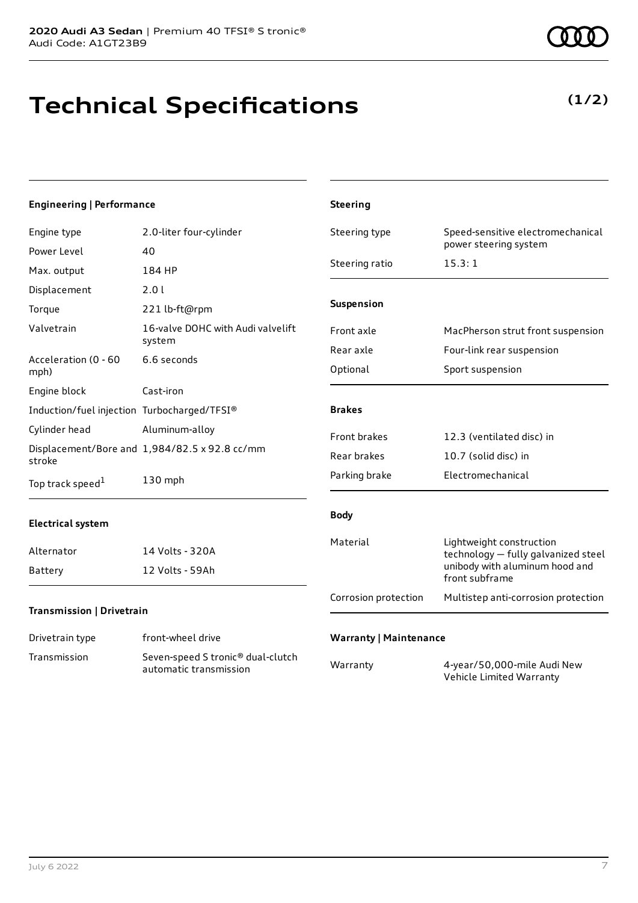# **Technical Specifications**

**(1/2)**

### **Engineering | Performance**

| Engine type                                 | 2.0-liter four-cylinder                                                 | Steering type                 | Speed-sensitive electromechanical<br>power steering system      |
|---------------------------------------------|-------------------------------------------------------------------------|-------------------------------|-----------------------------------------------------------------|
| Power Level                                 | 40                                                                      |                               |                                                                 |
| Max. output                                 | 184 HP                                                                  | Steering ratio                | 15.3:1                                                          |
| Displacement                                | 2.01                                                                    |                               |                                                                 |
| Torque                                      | 221 lb-ft@rpm                                                           | <b>Suspension</b>             |                                                                 |
| Valvetrain                                  | 16-valve DOHC with Audi valvelift<br>system                             | Front axle                    | MacPherson strut front suspension                               |
| Acceleration (0 - 60                        | 6.6 seconds                                                             | Rear axle                     | Four-link rear suspension                                       |
| mph)                                        |                                                                         | Optional                      | Sport suspension                                                |
| Engine block                                | Cast-iron                                                               |                               |                                                                 |
| Induction/fuel injection Turbocharged/TFSI® |                                                                         | <b>Brakes</b>                 |                                                                 |
| Cylinder head                               | Aluminum-alloy                                                          | Front brakes                  | 12.3 (ventilated disc) in                                       |
| stroke                                      | Displacement/Bore and 1,984/82.5 x 92.8 cc/mm                           | Rear brakes                   | 10.7 (solid disc) in                                            |
| Top track speed <sup>1</sup>                | 130 mph                                                                 | Parking brake                 | Electromechanical                                               |
| <b>Electrical system</b>                    |                                                                         | <b>Body</b>                   |                                                                 |
| Alternator                                  | 14 Volts - 320A                                                         | Material                      | Lightweight construction<br>technology - fully galvanized steel |
| Battery                                     | 12 Volts - 59Ah                                                         |                               | unibody with aluminum hood and<br>front subframe                |
| Transmission   Drivetrain                   |                                                                         | Corrosion protection          | Multistep anti-corrosion protection                             |
| Drivetrain type                             | front-wheel drive                                                       | <b>Warranty   Maintenance</b> |                                                                 |
| Transmission                                | Seven-speed S tronic <sup>®</sup> dual-clutch<br>automatic transmission | Warranty                      | 4-year/50,000-mile Audi New<br>Vehicle Limited Warranty         |

**Steering**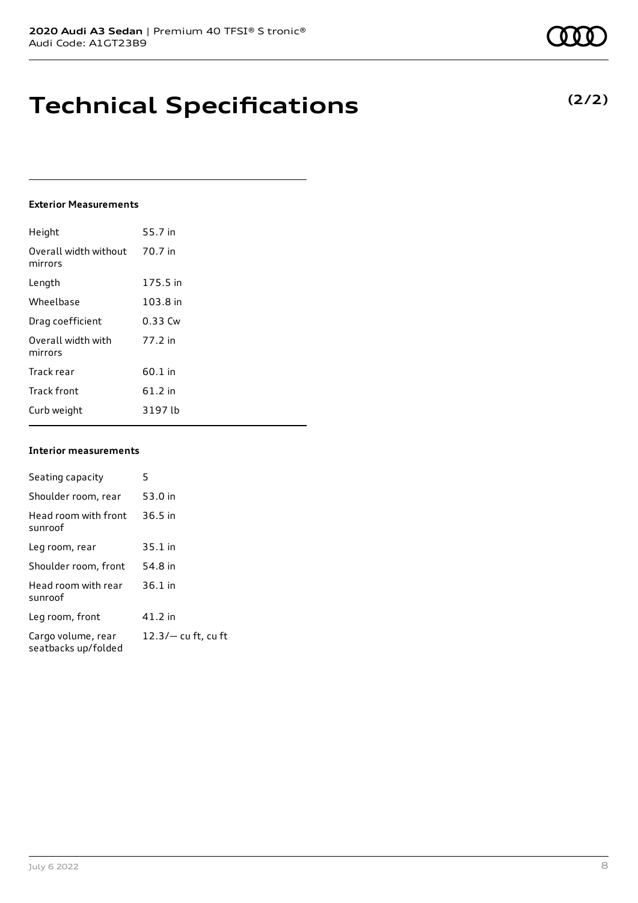### **Technical Specifications**

#### **Exterior Measurements**

| Height                           | 55.7 in  |
|----------------------------------|----------|
| Overall width without<br>mirrors | 70.7 in  |
| Length                           | 175.5 in |
| Wheelbase                        | 103.8 in |
| Drag coefficient                 | 0.33 Cw  |
| Overall width with<br>mirrors    | 77.2 in  |
| Track rear                       | 60.1 in  |
| <b>Track front</b>               | 61.2 in  |
| Curb weight                      | 3197 lb  |

#### **Interior measurements**

| Seating capacity                          | 5                     |
|-------------------------------------------|-----------------------|
| Shoulder room, rear                       | 53.0 in               |
| Head room with front<br>sunroof           | $36.5$ in             |
| Leg room, rear                            | $35.1$ in             |
| Shoulder room, front                      | 54.8 in               |
| Head room with rear<br>sunroof            | $36.1$ in             |
| Leg room, front                           | 41.2 in               |
| Cargo volume, rear<br>seatbacks up/folded | $12.3/-$ cu ft, cu ft |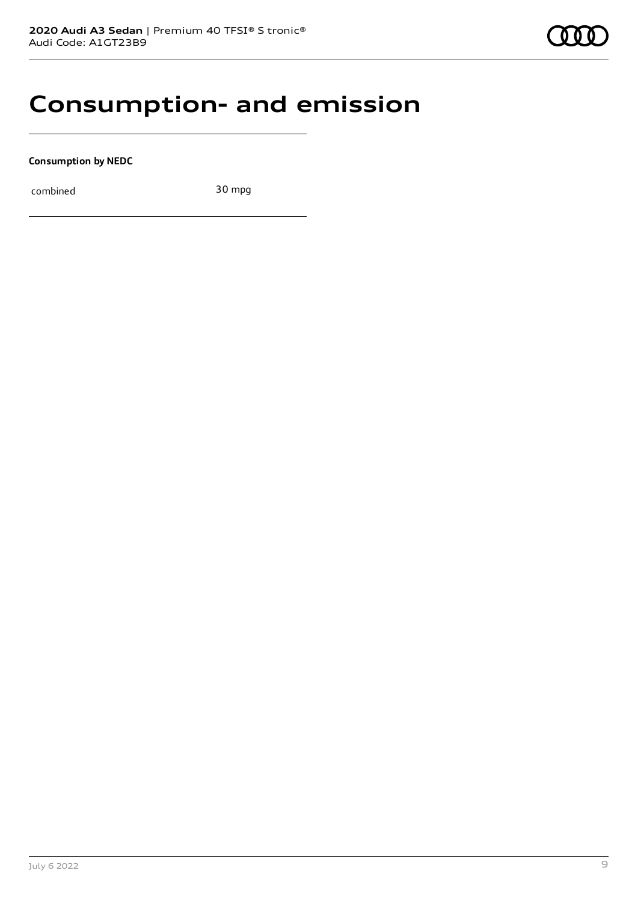### **Consumption- and emission**

**Consumption by NEDC**

combined 30 mpg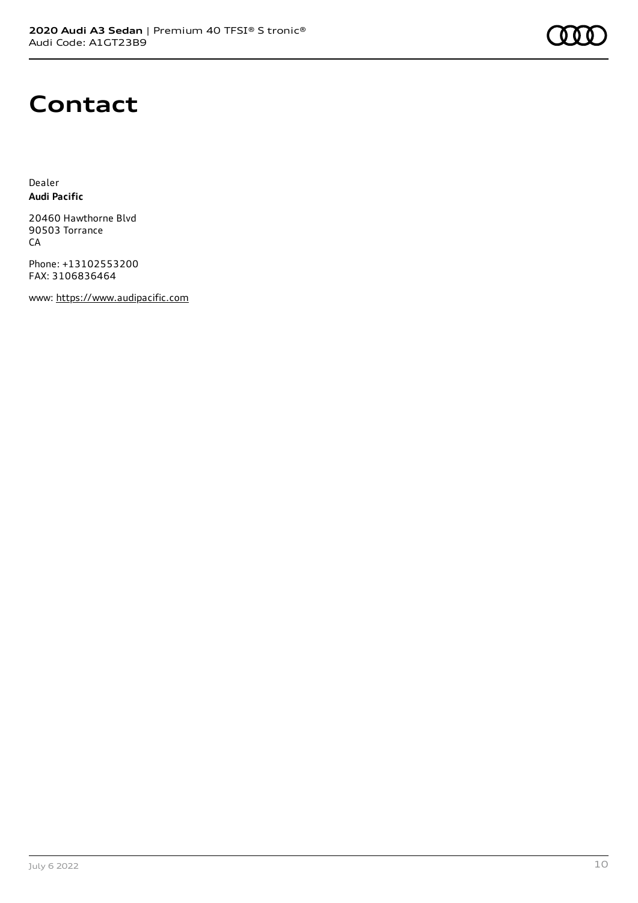

### **Contact**

Dealer **Audi Pacific**

20460 Hawthorne Blvd 90503 Torrance CA

Phone: +13102553200 FAX: 3106836464

www: [https://www.audipacific.com](https://www.audipacific.com/)